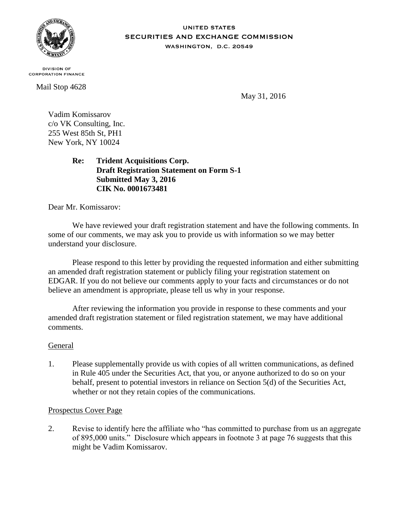

#### **UNITED STATES** SECURITIES AND EXCHANGE COMMISSION WASHINGTON, D.C. 20549

**DIVISION OF CORPORATION FINANCE** 

Mail Stop 4628

May 31, 2016

Vadim Komissarov c/o VK Consulting, Inc. 255 West 85th St, PH1 New York, NY 10024

> **Re: Trident Acquisitions Corp. Draft Registration Statement on Form S-1 Submitted May 3, 2016 CIK No. 0001673481**

Dear Mr. Komissarov:

We have reviewed your draft registration statement and have the following comments. In some of our comments, we may ask you to provide us with information so we may better understand your disclosure.

Please respond to this letter by providing the requested information and either submitting an amended draft registration statement or publicly filing your registration statement on EDGAR. If you do not believe our comments apply to your facts and circumstances or do not believe an amendment is appropriate, please tell us why in your response.

After reviewing the information you provide in response to these comments and your amended draft registration statement or filed registration statement, we may have additional comments.

# General

1. Please supplementally provide us with copies of all written communications, as defined in Rule 405 under the Securities Act, that you, or anyone authorized to do so on your behalf, present to potential investors in reliance on Section 5(d) of the Securities Act, whether or not they retain copies of the communications.

### Prospectus Cover Page

2. Revise to identify here the affiliate who "has committed to purchase from us an aggregate of 895,000 units." Disclosure which appears in footnote 3 at page 76 suggests that this might be Vadim Komissarov.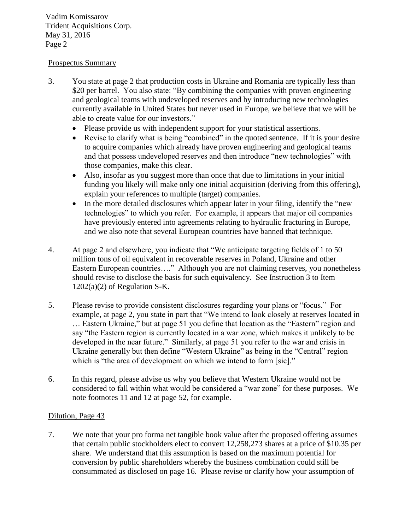Vadim Komissarov Trident Acquisitions Corp. May 31, 2016 Page 2

# Prospectus Summary

- 3. You state at page 2 that production costs in Ukraine and Romania are typically less than \$20 per barrel. You also state: "By combining the companies with proven engineering and geological teams with undeveloped reserves and by introducing new technologies currently available in United States but never used in Europe, we believe that we will be able to create value for our investors."
	- Please provide us with independent support for your statistical assertions.
	- Revise to clarify what is being "combined" in the quoted sentence. If it is your desire to acquire companies which already have proven engineering and geological teams and that possess undeveloped reserves and then introduce "new technologies" with those companies, make this clear.
	- Also, insofar as you suggest more than once that due to limitations in your initial funding you likely will make only one initial acquisition (deriving from this offering), explain your references to multiple (target) companies.
	- In the more detailed disclosures which appear later in your filing, identify the "new" technologies" to which you refer. For example, it appears that major oil companies have previously entered into agreements relating to hydraulic fracturing in Europe, and we also note that several European countries have banned that technique.
- 4. At page 2 and elsewhere, you indicate that "We anticipate targeting fields of 1 to 50 million tons of oil equivalent in recoverable reserves in Poland, Ukraine and other Eastern European countries…." Although you are not claiming reserves, you nonetheless should revise to disclose the basis for such equivalency. See Instruction 3 to Item  $1202(a)(2)$  of Regulation S-K.
- 5. Please revise to provide consistent disclosures regarding your plans or "focus." For example, at page 2, you state in part that "We intend to look closely at reserves located in … Eastern Ukraine," but at page 51 you define that location as the "Eastern" region and say "the Eastern region is currently located in a war zone, which makes it unlikely to be developed in the near future." Similarly, at page 51 you refer to the war and crisis in Ukraine generally but then define "Western Ukraine" as being in the "Central" region which is "the area of development on which we intend to form [sic]."
- 6. In this regard, please advise us why you believe that Western Ukraine would not be considered to fall within what would be considered a "war zone" for these purposes. We note footnotes 11 and 12 at page 52, for example.

# Dilution, Page 43

7. We note that your pro forma net tangible book value after the proposed offering assumes that certain public stockholders elect to convert 12,258,273 shares at a price of \$10.35 per share. We understand that this assumption is based on the maximum potential for conversion by public shareholders whereby the business combination could still be consummated as disclosed on page 16. Please revise or clarify how your assumption of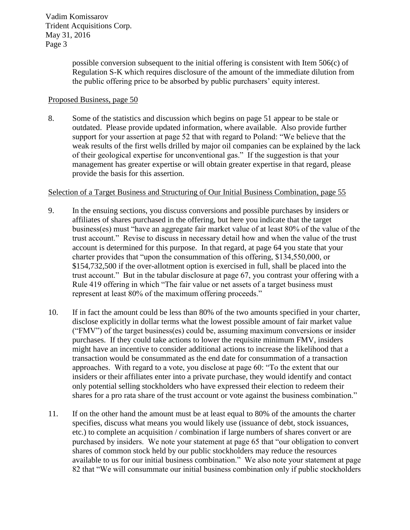Vadim Komissarov Trident Acquisitions Corp. May 31, 2016 Page 3

> possible conversion subsequent to the initial offering is consistent with Item 506(c) of Regulation S-K which requires disclosure of the amount of the immediate dilution from the public offering price to be absorbed by public purchasers' equity interest.

### Proposed Business, page 50

8. Some of the statistics and discussion which begins on page 51 appear to be stale or outdated. Please provide updated information, where available. Also provide further support for your assertion at page 52 that with regard to Poland: "We believe that the weak results of the first wells drilled by major oil companies can be explained by the lack of their geological expertise for unconventional gas." If the suggestion is that your management has greater expertise or will obtain greater expertise in that regard, please provide the basis for this assertion.

#### Selection of a Target Business and Structuring of Our Initial Business Combination, page 55

- 9. In the ensuing sections, you discuss conversions and possible purchases by insiders or affiliates of shares purchased in the offering, but here you indicate that the target business(es) must "have an aggregate fair market value of at least 80% of the value of the trust account." Revise to discuss in necessary detail how and when the value of the trust account is determined for this purpose. In that regard, at page 64 you state that your charter provides that "upon the consummation of this offering, \$134,550,000, or \$154,732,500 if the over-allotment option is exercised in full, shall be placed into the trust account." But in the tabular disclosure at page 67, you contrast your offering with a Rule 419 offering in which "The fair value or net assets of a target business must represent at least 80% of the maximum offering proceeds."
- 10. If in fact the amount could be less than 80% of the two amounts specified in your charter, disclose explicitly in dollar terms what the lowest possible amount of fair market value ("FMV") of the target business(es) could be, assuming maximum conversions or insider purchases. If they could take actions to lower the requisite minimum FMV, insiders might have an incentive to consider additional actions to increase the likelihood that a transaction would be consummated as the end date for consummation of a transaction approaches. With regard to a vote, you disclose at page 60: "To the extent that our insiders or their affiliates enter into a private purchase, they would identify and contact only potential selling stockholders who have expressed their election to redeem their shares for a pro rata share of the trust account or vote against the business combination."
- 11. If on the other hand the amount must be at least equal to 80% of the amounts the charter specifies, discuss what means you would likely use (issuance of debt, stock issuances, etc.) to complete an acquisition / combination if large numbers of shares convert or are purchased by insiders. We note your statement at page 65 that "our obligation to convert shares of common stock held by our public stockholders may reduce the resources available to us for our initial business combination." We also note your statement at page 82 that "We will consummate our initial business combination only if public stockholders